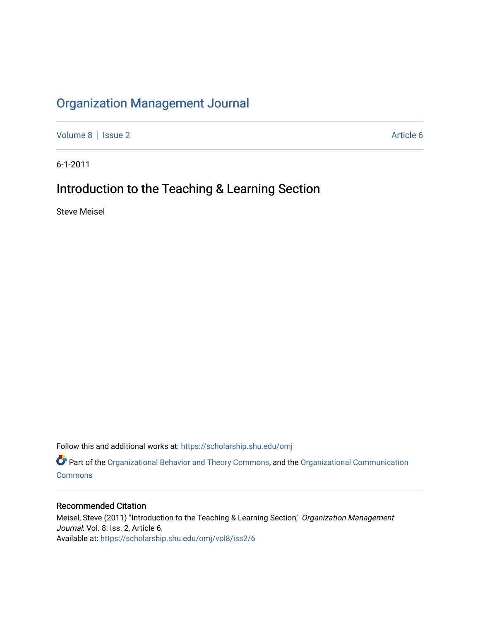## [Organization Management Journal](https://scholarship.shu.edu/omj)

[Volume 8](https://scholarship.shu.edu/omj/vol8) | [Issue 2](https://scholarship.shu.edu/omj/vol8/iss2) Article 6

6-1-2011

## Introduction to the Teaching & Learning Section

Steve Meisel

Follow this and additional works at: [https://scholarship.shu.edu/omj](https://scholarship.shu.edu/omj?utm_source=scholarship.shu.edu%2Fomj%2Fvol8%2Fiss2%2F6&utm_medium=PDF&utm_campaign=PDFCoverPages) 

Part of the [Organizational Behavior and Theory Commons,](http://network.bepress.com/hgg/discipline/639?utm_source=scholarship.shu.edu%2Fomj%2Fvol8%2Fiss2%2F6&utm_medium=PDF&utm_campaign=PDFCoverPages) and the [Organizational Communication](http://network.bepress.com/hgg/discipline/335?utm_source=scholarship.shu.edu%2Fomj%2Fvol8%2Fiss2%2F6&utm_medium=PDF&utm_campaign=PDFCoverPages) **[Commons](http://network.bepress.com/hgg/discipline/335?utm_source=scholarship.shu.edu%2Fomj%2Fvol8%2Fiss2%2F6&utm_medium=PDF&utm_campaign=PDFCoverPages)** 

## Recommended Citation

Meisel, Steve (2011) "Introduction to the Teaching & Learning Section," Organization Management Journal: Vol. 8: Iss. 2, Article 6. Available at: [https://scholarship.shu.edu/omj/vol8/iss2/6](https://scholarship.shu.edu/omj/vol8/iss2/6?utm_source=scholarship.shu.edu%2Fomj%2Fvol8%2Fiss2%2F6&utm_medium=PDF&utm_campaign=PDFCoverPages)